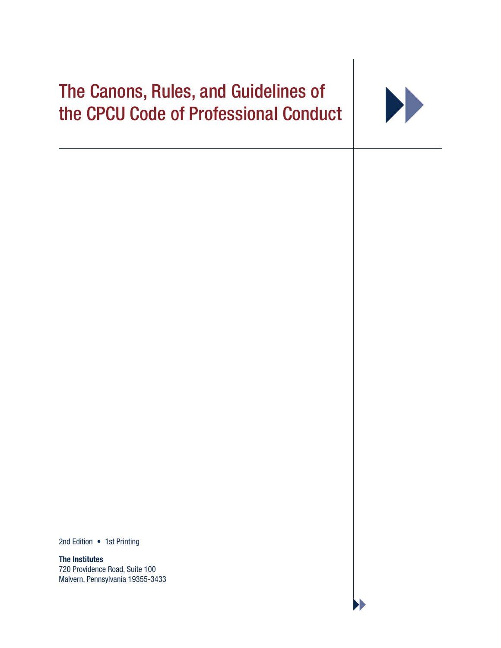# The Canons, Rules, and Guidelines of the CPCU Code of Professional Conduct



2nd Edition • 1st Printing

**The Institutes** 720 Providence Road, Suite 100 Malvern, Pennsylvania 19355-3433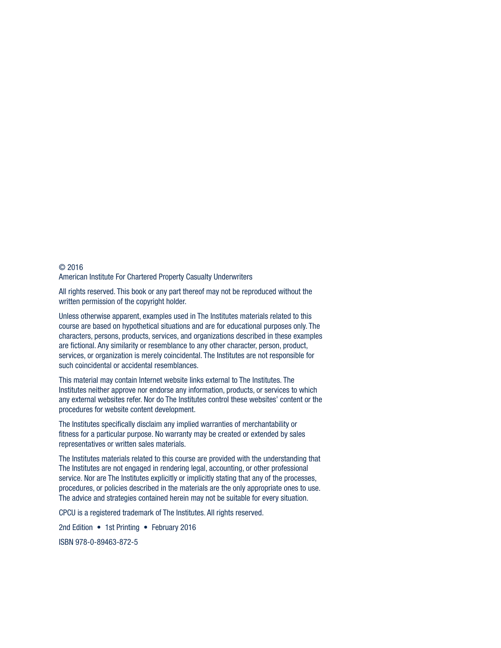#### © 2016 American Institute For Chartered Property Casualty Underwriters

All rights reserved. This book or any part thereof may not be reproduced without the written permission of the copyright holder.

Unless otherwise apparent, examples used in The Institutes materials related to this course are based on hypothetical situations and are for educational purposes only. The characters, persons, products, services, and organizations described in these examples are fictional. Any similarity or resemblance to any other character, person, product, services, or organization is merely coincidental. The Institutes are not responsible for such coincidental or accidental resemblances.

This material may contain Internet website links external to The Institutes. The Institutes neither approve nor endorse any information, products, or services to which any external websites refer. Nor do The Institutes control these websites' content or the procedures for website content development.

The Institutes specifically disclaim any implied warranties of merchantability or fitness for a particular purpose. No warranty may be created or extended by sales representatives or written sales materials.

The Institutes materials related to this course are provided with the understanding that The Institutes are not engaged in rendering legal, accounting, or other professional service. Nor are The Institutes explicitly or implicitly stating that any of the processes, procedures, or policies described in the materials are the only appropriate ones to use. The advice and strategies contained herein may not be suitable for every situation.

CPCU is a registered trademark of The Institutes. All rights reserved.

2nd Edition • 1st Printing • February 2016 ISBN 978-0-89463-872-5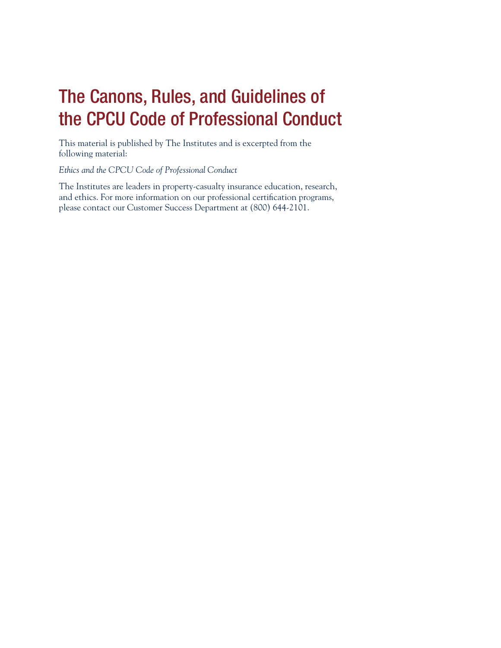## The Canons, Rules, and Guidelines of the CPCU Code of Professional Conduct

This material is published by The Institutes and is excerpted from the following material:

*Ethics and the CPCU Code of Professional Conduct*

The Institutes are leaders in property-casualty insurance education, research, and ethics. For more information on our professional certification programs, please contact our Customer Success Department at (800) 644-2101.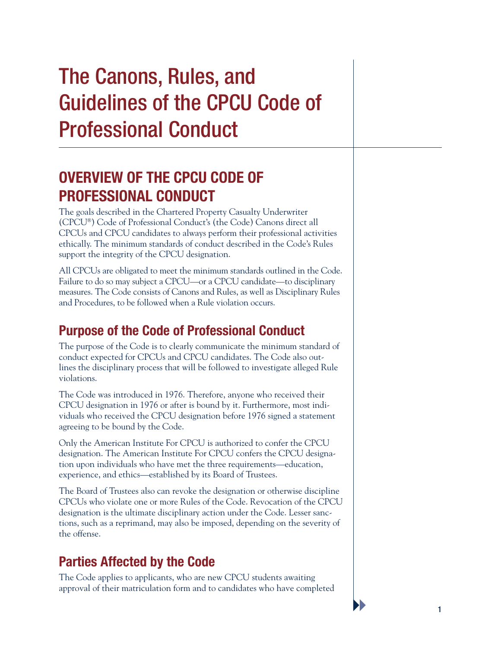# The Canons, Rules, and Guidelines of the CPCU Code of Professional Conduct

## **OVERVIEW OF THE CPCU CODE OF PROFESSIONAL CONDUCT**

The goals described in the Chartered Property Casualty Underwriter (CPCU®) Code of Professional Conduct's (the Code) Canons direct all CPCUs and CPCU candidates to always perform their professional activities ethically. The minimum standards of conduct described in the Code's Rules support the integrity of the CPCU designation.

All CPCUs are obligated to meet the minimum standards outlined in the Code. Failure to do so may subject a CPCU—or a CPCU candidate—to disciplinary measures. The Code consists of Canons and Rules, as well as Disciplinary Rules and Procedures, to be followed when a Rule violation occurs.

## **Purpose of the Code of Professional Conduct**

The purpose of the Code is to clearly communicate the minimum standard of conduct expected for CPCUs and CPCU candidates. The Code also outlines the disciplinary process that will be followed to investigate alleged Rule violations.

The Code was introduced in 1976. Therefore, anyone who received their CPCU designation in 1976 or after is bound by it. Furthermore, most individuals who received the CPCU designation before 1976 signed a statement agreeing to be bound by the Code.

Only the American Institute For CPCU is authorized to confer the CPCU designation. The American Institute For CPCU confers the CPCU designation upon individuals who have met the three requirements—education, experience, and ethics—established by its Board of Trustees.

The Board of Trustees also can revoke the designation or otherwise discipline CPCUs who violate one or more Rules of the Code. Revocation of the CPCU designation is the ultimate disciplinary action under the Code. Lesser sanctions, such as a reprimand, may also be imposed, depending on the severity of the offense.

### **Parties Affected by the Code**

The Code applies to applicants, who are new CPCU students awaiting approval of their matriculation form and to candidates who have completed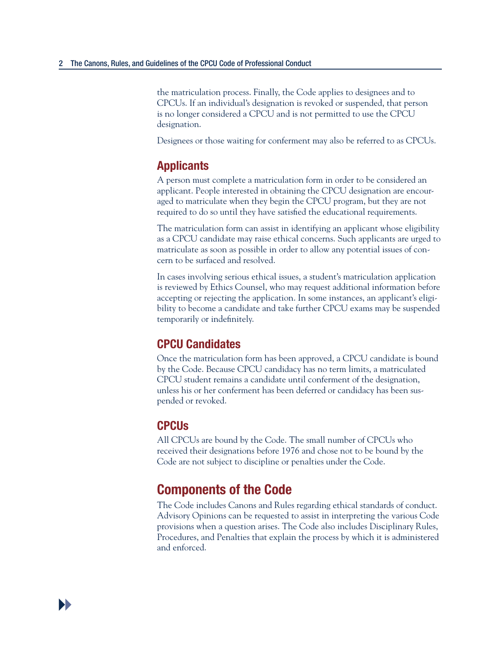the matriculation process. Finally, the Code applies to designees and to CPCUs. If an individual's designation is revoked or suspended, that person is no longer considered a CPCU and is not permitted to use the CPCU designation.

Designees or those waiting for conferment may also be referred to as CPCUs.

#### **Applicants**

A person must complete a matriculation form in order to be considered an applicant. People interested in obtaining the CPCU designation are encouraged to matriculate when they begin the CPCU program, but they are not required to do so until they have satisfied the educational requirements.

The matriculation form can assist in identifying an applicant whose eligibility as a CPCU candidate may raise ethical concerns. Such applicants are urged to matriculate as soon as possible in order to allow any potential issues of concern to be surfaced and resolved.

In cases involving serious ethical issues, a student's matriculation application is reviewed by Ethics Counsel, who may request additional information before accepting or rejecting the application. In some instances, an applicant's eligibility to become a candidate and take further CPCU exams may be suspended temporarily or indefinitely.

#### **CPCU Candidates**

Once the matriculation form has been approved, a CPCU candidate is bound by the Code. Because CPCU candidacy has no term limits, a matriculated CPCU student remains a candidate until conferment of the designation, unless his or her conferment has been deferred or candidacy has been suspended or revoked.

#### **CPCUs**

All CPCUs are bound by the Code. The small number of CPCUs who received their designations before 1976 and chose not to be bound by the Code are not subject to discipline or penalties under the Code.

#### **Components of the Code**

The Code includes Canons and Rules regarding ethical standards of conduct. Advisory Opinions can be requested to assist in interpreting the various Code provisions when a question arises. The Code also includes Disciplinary Rules, Procedures, and Penalties that explain the process by which it is administered and enforced.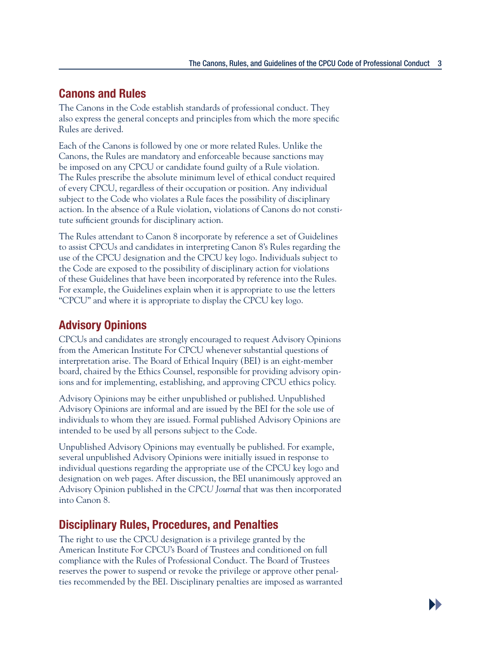**D** 

#### **Canons and Rules**

The Canons in the Code establish standards of professional conduct. They also express the general concepts and principles from which the more specific Rules are derived.

Each of the Canons is followed by one or more related Rules. Unlike the Canons, the Rules are mandatory and enforceable because sanctions may be imposed on any CPCU or candidate found guilty of a Rule violation. The Rules prescribe the absolute minimum level of ethical conduct required of every CPCU, regardless of their occupation or position. Any individual subject to the Code who violates a Rule faces the possibility of disciplinary action. In the absence of a Rule violation, violations of Canons do not constitute sufficient grounds for disciplinary action.

The Rules attendant to Canon 8 incorporate by reference a set of Guidelines to assist CPCUs and candidates in interpreting Canon 8's Rules regarding the use of the CPCU designation and the CPCU key logo. Individuals subject to the Code are exposed to the possibility of disciplinary action for violations of these Guidelines that have been incorporated by reference into the Rules. For example, the Guidelines explain when it is appropriate to use the letters "CPCU" and where it is appropriate to display the CPCU key logo.

#### **Advisory Opinions**

CPCUs and candidates are strongly encouraged to request Advisory Opinions from the American Institute For CPCU whenever substantial questions of interpretation arise. The Board of Ethical Inquiry (BEI) is an eight-member board, chaired by the Ethics Counsel, responsible for providing advisory opinions and for implementing, establishing, and approving CPCU ethics policy.

Advisory Opinions may be either unpublished or published. Unpublished Advisory Opinions are informal and are issued by the BEI for the sole use of individuals to whom they are issued. Formal published Advisory Opinions are intended to be used by all persons subject to the Code.

Unpublished Advisory Opinions may eventually be published. For example, several unpublished Advisory Opinions were initially issued in response to individual questions regarding the appropriate use of the CPCU key logo and designation on web pages. After discussion, the BEI unanimously approved an Advisory Opinion published in the *CPCU Journal* that was then incorporated into Canon 8.

#### **Disciplinary Rules, Procedures, and Penalties**

The right to use the CPCU designation is a privilege granted by the American Institute For CPCU's Board of Trustees and conditioned on full compliance with the Rules of Professional Conduct. The Board of Trustees reserves the power to suspend or revoke the privilege or approve other penalties recommended by the BEI. Disciplinary penalties are imposed as warranted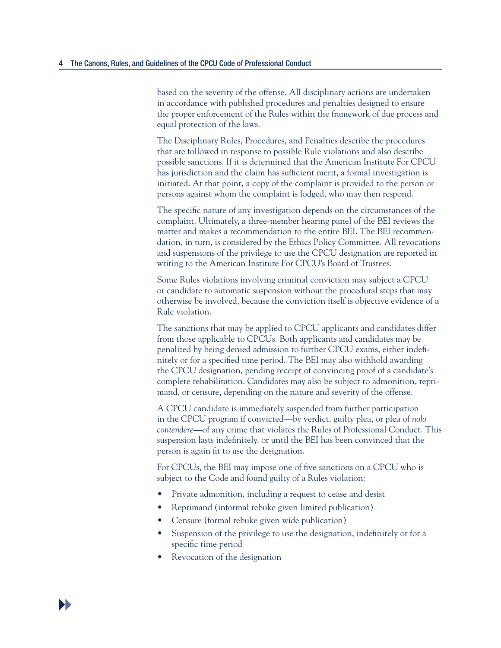based on the severity of the offense. All disciplinary actions are undertaken in accordance with published procedures and penalties designed to ensure the proper enforcement of the Rules within the framework of due process and equal protection of the laws.

The Disciplinary Rules, Procedures, and Penalties describe the procedures that are followed in response to possible Rule violations and also describe possible sanctions. If it is determined that the American Institute For CPCU has jurisdiction and the claim has sufficient merit, a formal investigation is initiated. At that point, a copy of the complaint is provided to the person or persons against whom the complaint is lodged, who may then respond.

The specific nature of any investigation depends on the circumstances of the complaint. Ultimately, a three-member hearing panel of the BEI reviews the matter and makes a recommendation to the entire BEI. The BEI recommendation, in turn, is considered by the Ethics Policy Committee. All revocations and suspensions of the privilege to use the CPCU designation are reported in writing to the American Institute For CPCU's Board of Trustees.

Some Rules violations involving criminal conviction may subject a CPCU or candidate to automatic suspension without the procedural steps that may otherwise be involved, because the conviction itself is objective evidence of a Rule violation.

The sanctions that may be applied to CPCU applicants and candidates differ from those applicable to CPCUs. Both applicants and candidates may be penalized by being denied admission to further CPCU exams, either indefinitely or for a specified time period. The BEI may also withhold awarding the CPCU designation, pending receipt of convincing proof of a candidate's complete rehabilitation. Candidates may also be subject to admonition, reprimand, or censure, depending on the nature and severity of the offense.

A CPCU candidate is immediately suspended from further participation in the CPCU program if convicted—by verdict, guilty plea, or plea of *nolo contendere*—of any crime that violates the Rules of Professional Conduct. This suspension lasts indefinitely, or until the BEI has been convinced that the person is again fit to use the designation.

For CPCUs, the BEI may impose one of five sanctions on a CPCU who is subject to the Code and found guilty of a Rules violation:

- Private admonition, including a request to cease and desist
- Reprimand (informal rebuke given limited publication)
- Censure (formal rebuke given wide publication)
- Suspension of the privilege to use the designation, indefinitely or for a specific time period
- Revocation of the designation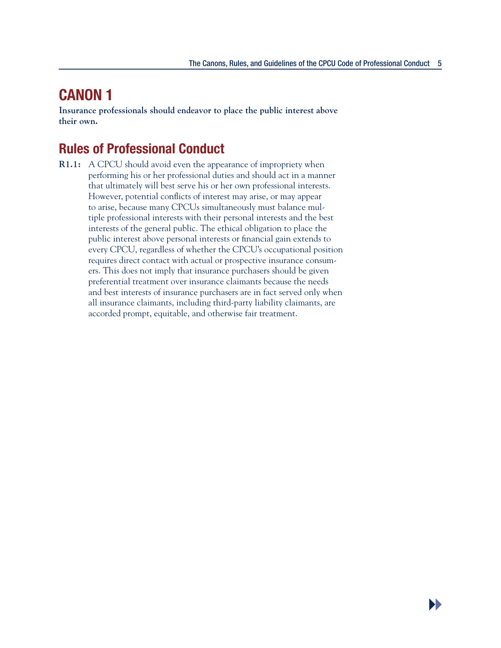**D** 

### **CANON 1**

**Insurance professionals should endeavor to place the public interest above their own.** 

### **Rules of Professional Conduct**

**R1.1:** A CPCU should avoid even the appearance of impropriety when performing his or her professional duties and should act in a manner that ultimately will best serve his or her own professional interests. However, potential conflicts of interest may arise, or may appear to arise, because many CPCUs simultaneously must balance multiple professional interests with their personal interests and the best interests of the general public. The ethical obligation to place the public interest above personal interests or financial gain extends to every CPCU, regardless of whether the CPCU's occupational position requires direct contact with actual or prospective insurance consumers. This does not imply that insurance purchasers should be given preferential treatment over insurance claimants because the needs and best interests of insurance purchasers are in fact served only when all insurance claimants, including third-party liability claimants, are accorded prompt, equitable, and otherwise fair treatment.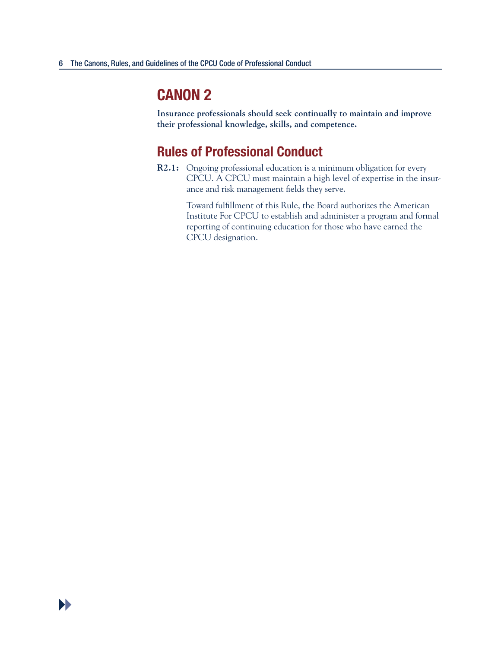**Insurance professionals should seek continually to maintain and improve their professional knowledge, skills, and competence.** 

#### **Rules of Professional Conduct**

**R2.1:** Ongoing professional education is a minimum obligation for every CPCU. A CPCU must maintain a high level of expertise in the insurance and risk management fields they serve.

> Toward fulfillment of this Rule, the Board authorizes the American Institute For CPCU to establish and administer a program and formal reporting of continuing education for those who have earned the CPCU designation.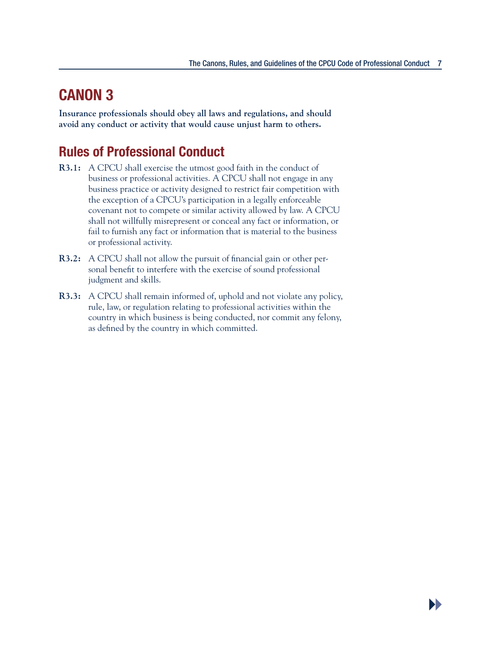**DD** 

## **CANON 3**

**Insurance professionals should obey all laws and regulations, and should avoid any conduct or activity that would cause unjust harm to others.** 

- **R3.1:** A CPCU shall exercise the utmost good faith in the conduct of business or professional activities. A CPCU shall not engage in any business practice or activity designed to restrict fair competition with the exception of a CPCU's participation in a legally enforceable covenant not to compete or similar activity allowed by law. A CPCU shall not willfully misrepresent or conceal any fact or information, or fail to furnish any fact or information that is material to the business or professional activity.
- **R3.2:** A CPCU shall not allow the pursuit of financial gain or other personal benefit to interfere with the exercise of sound professional judgment and skills.
- **R3.3:** A CPCU shall remain informed of, uphold and not violate any policy, rule, law, or regulation relating to professional activities within the country in which business is being conducted, nor commit any felony, as defined by the country in which committed.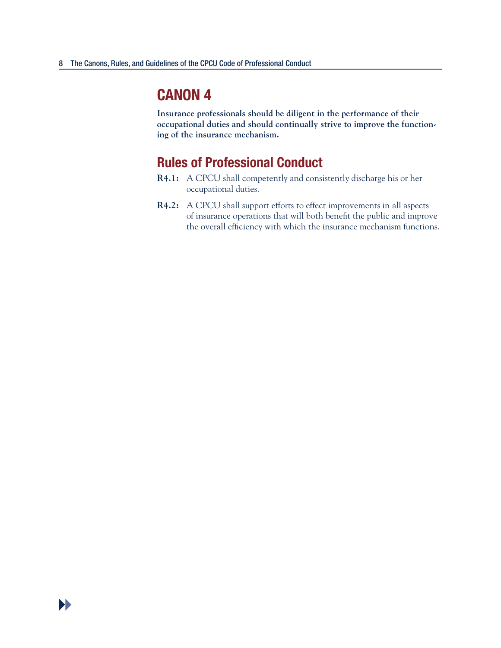**Insurance professionals should be diligent in the performance of their occupational duties and should continually strive to improve the functioning of the insurance mechanism.** 

- **R4.1:** A CPCU shall competently and consistently discharge his or her occupational duties.
- **R4.2:** A CPCU shall support efforts to effect improvements in all aspects of insurance operations that will both benefit the public and improve the overall efficiency with which the insurance mechanism functions.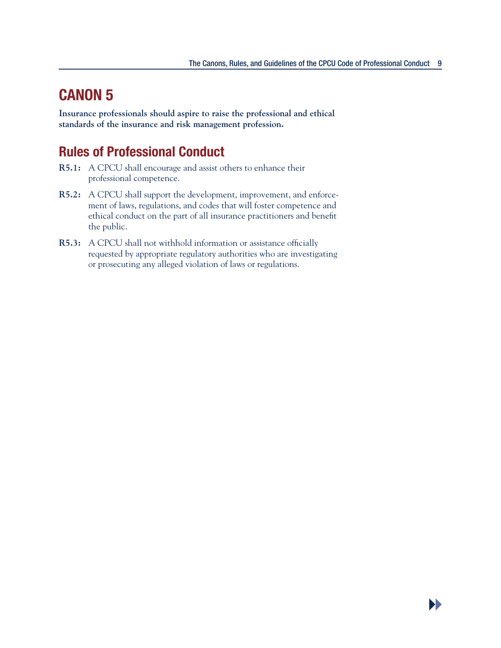**Insurance professionals should aspire to raise the professional and ethical standards of the insurance and risk management profession.** 

- **R5.1:** A CPCU shall encourage and assist others to enhance their professional competence.
- **R5.2:** A CPCU shall support the development, improvement, and enforcement of laws, regulations, and codes that will foster competence and ethical conduct on the part of all insurance practitioners and benefit the public.
- **R5.3:** A CPCU shall not withhold information or assistance officially requested by appropriate regulatory authorities who are investigating or prosecuting any alleged violation of laws or regulations.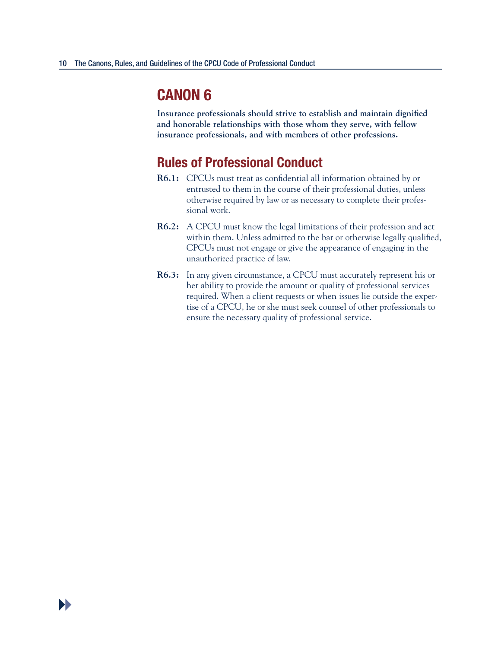**Insurance professionals should strive to establish and maintain dignified and honorable relationships with those whom they serve, with fellow insurance professionals, and with members of other professions.** 

- **R6.1:** CPCUs must treat as confidential all information obtained by or entrusted to them in the course of their professional duties, unless otherwise required by law or as necessary to complete their professional work.
- **R6.2:** A CPCU must know the legal limitations of their profession and act within them. Unless admitted to the bar or otherwise legally qualified, CPCUs must not engage or give the appearance of engaging in the unauthorized practice of law.
- **R6.3:** In any given circumstance, a CPCU must accurately represent his or her ability to provide the amount or quality of professional services required. When a client requests or when issues lie outside the expertise of a CPCU, he or she must seek counsel of other professionals to ensure the necessary quality of professional service.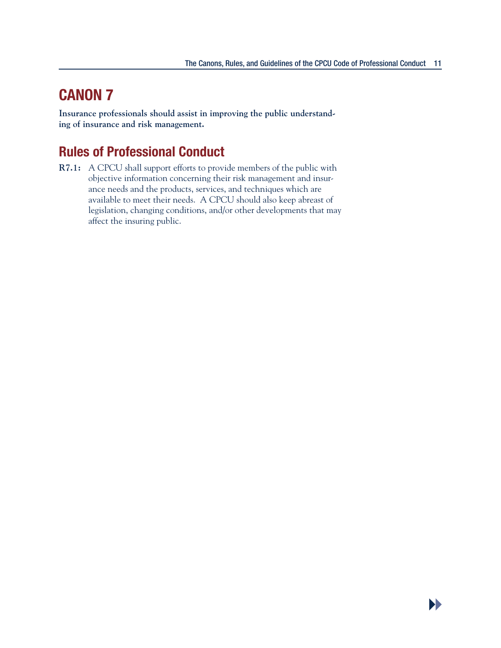$\blacktriangleright$ 

### **CANON 7**

**Insurance professionals should assist in improving the public understanding of insurance and risk management.** 

### **Rules of Professional Conduct**

**R7.1:** A CPCU shall support efforts to provide members of the public with objective information concerning their risk management and insurance needs and the products, services, and techniques which are available to meet their needs. A CPCU should also keep abreast of legislation, changing conditions, and/or other developments that may affect the insuring public.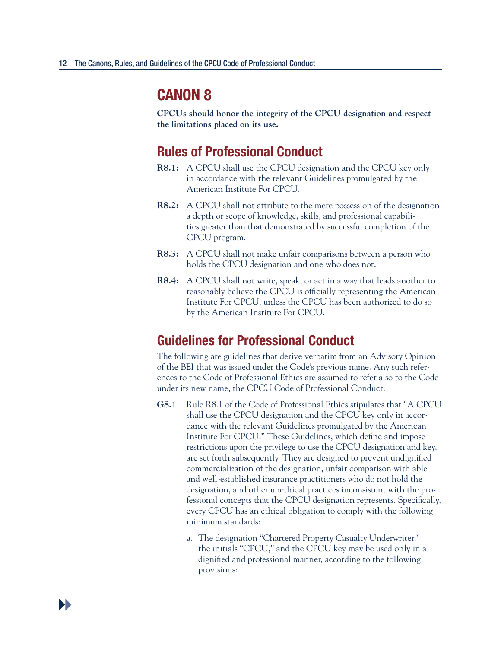**CPCUs should honor the integrity of the CPCU designation and respect the limitations placed on its use.** 

#### **Rules of Professional Conduct**

- **R8.1:** A CPCU shall use the CPCU designation and the CPCU key only in accordance with the relevant Guidelines promulgated by the American Institute For CPCU.
- **R8.2:** A CPCU shall not attribute to the mere possession of the designation a depth or scope of knowledge, skills, and professional capabilities greater than that demonstrated by successful completion of the CPCU program.
- **R8.3:** A CPCU shall not make unfair comparisons between a person who holds the CPCU designation and one who does not.
- **R8.4:** A CPCU shall not write, speak, or act in a way that leads another to reasonably believe the CPCU is officially representing the American Institute For CPCU, unless the CPCU has been authorized to do so by the American Institute For CPCU.

#### **Guidelines for Professional Conduct**

The following are guidelines that derive verbatim from an Advisory Opinion of the BEI that was issued under the Code's previous name. Any such references to the Code of Professional Ethics are assumed to refer also to the Code under its new name, the CPCU Code of Professional Conduct.

- **G8.1** Rule R8.1 of the Code of Professional Ethics stipulates that "A CPCU shall use the CPCU designation and the CPCU key only in accordance with the relevant Guidelines promulgated by the American Institute For CPCU." These Guidelines, which define and impose restrictions upon the privilege to use the CPCU designation and key, are set forth subsequently. They are designed to prevent undignified commercialization of the designation, unfair comparison with able and well-established insurance practitioners who do not hold the designation, and other unethical practices inconsistent with the professional concepts that the CPCU designation represents. Specifically, every CPCU has an ethical obligation to comply with the following minimum standards:
	- a. The designation "Chartered Property Casualty Underwriter," the initials "CPCU," and the CPCU key may be used only in a dignified and professional manner, according to the following provisions: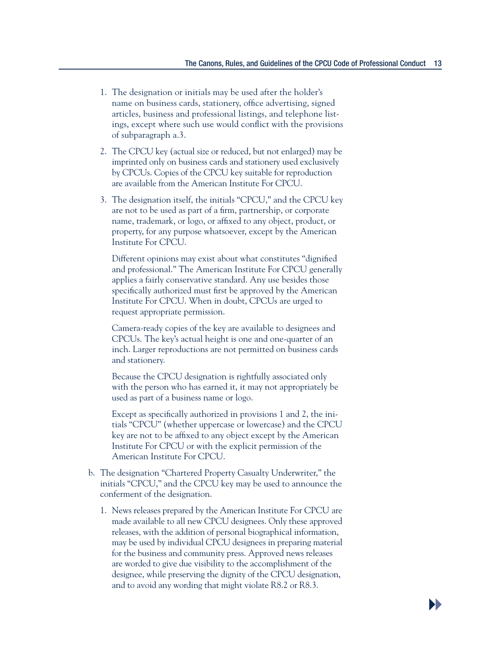- 1. The designation or initials may be used after the holder's name on business cards, stationery, office advertising, signed articles, business and professional listings, and telephone listings, except where such use would conflict with the provisions of subparagraph a.3.
- 2. The CPCU key (actual size or reduced, but not enlarged) may be imprinted only on business cards and stationery used exclusively by CPCUs. Copies of the CPCU key suitable for reproduction are available from the American Institute For CPCU.
- 3. The designation itself, the initials "CPCU," and the CPCU key are not to be used as part of a firm, partnership, or corporate name, trademark, or logo, or affixed to any object, product, or property, for any purpose whatsoever, except by the American Institute For CPCU.

 Different opinions may exist about what constitutes "dignified and professional." The American Institute For CPCU generally applies a fairly conservative standard. Any use besides those specifically authorized must first be approved by the American Institute For CPCU. When in doubt, CPCUs are urged to request appropriate permission.

 Camera-ready copies of the key are available to designees and CPCUs. The key's actual height is one and one-quarter of an inch. Larger reproductions are not permitted on business cards and stationery.

 Because the CPCU designation is rightfully associated only with the person who has earned it, it may not appropriately be used as part of a business name or logo.

 Except as specifically authorized in provisions 1 and 2, the initials "CPCU" (whether uppercase or lowercase) and the CPCU key are not to be affixed to any object except by the American Institute For CPCU or with the explicit permission of the American Institute For CPCU.

- b. The designation "Chartered Property Casualty Underwriter," the initials "CPCU," and the CPCU key may be used to announce the conferment of the designation.
	- 1. News releases prepared by the American Institute For CPCU are made available to all new CPCU designees. Only these approved releases, with the addition of personal biographical information, may be used by individual CPCU designees in preparing material for the business and community press. Approved news releases are worded to give due visibility to the accomplishment of the designee, while preserving the dignity of the CPCU designation, and to avoid any wording that might violate R8.2 or R8.3.

**DD**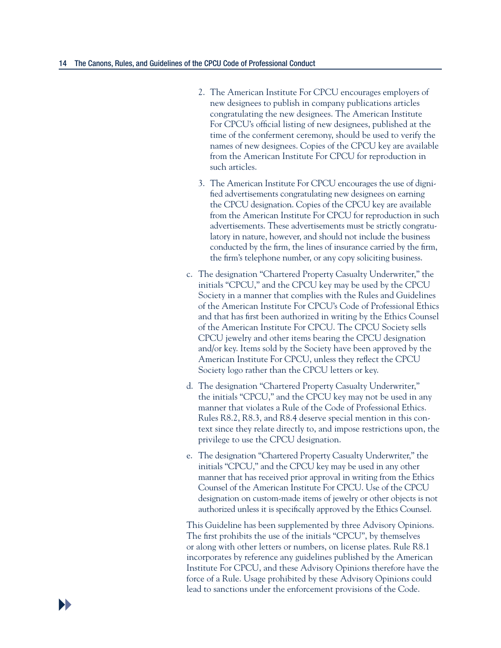- 2. The American Institute For CPCU encourages employers of new designees to publish in company publications articles congratulating the new designees. The American Institute For CPCU's official listing of new designees, published at the time of the conferment ceremony, should be used to verify the names of new designees. Copies of the CPCU key are available from the American Institute For CPCU for reproduction in such articles.
- 3. The American Institute For CPCU encourages the use of dignified advertisements congratulating new designees on earning the CPCU designation. Copies of the CPCU key are available from the American Institute For CPCU for reproduction in such advertisements. These advertisements must be strictly congratulatory in nature, however, and should not include the business conducted by the firm, the lines of insurance carried by the firm, the firm's telephone number, or any copy soliciting business.
- c. The designation "Chartered Property Casualty Underwriter," the initials "CPCU," and the CPCU key may be used by the CPCU Society in a manner that complies with the Rules and Guidelines of the American Institute For CPCU's Code of Professional Ethics and that has first been authorized in writing by the Ethics Counsel of the American Institute For CPCU. The CPCU Society sells CPCU jewelry and other items bearing the CPCU designation and/or key. Items sold by the Society have been approved by the American Institute For CPCU, unless they reflect the CPCU Society logo rather than the CPCU letters or key.
- d. The designation "Chartered Property Casualty Underwriter," the initials "CPCU," and the CPCU key may not be used in any manner that violates a Rule of the Code of Professional Ethics. Rules R8.2, R8.3, and R8.4 deserve special mention in this context since they relate directly to, and impose restrictions upon, the privilege to use the CPCU designation.
- e. The designation "Chartered Property Casualty Underwriter," the initials "CPCU," and the CPCU key may be used in any other manner that has received prior approval in writing from the Ethics Counsel of the American Institute For CPCU. Use of the CPCU designation on custom-made items of jewelry or other objects is not authorized unless it is specifically approved by the Ethics Counsel.

 This Guideline has been supplemented by three Advisory Opinions. The first prohibits the use of the initials "CPCU", by themselves or along with other letters or numbers, on license plates. Rule R8.1 incorporates by reference any guidelines published by the American Institute For CPCU, and these Advisory Opinions therefore have the force of a Rule. Usage prohibited by these Advisory Opinions could lead to sanctions under the enforcement provisions of the Code.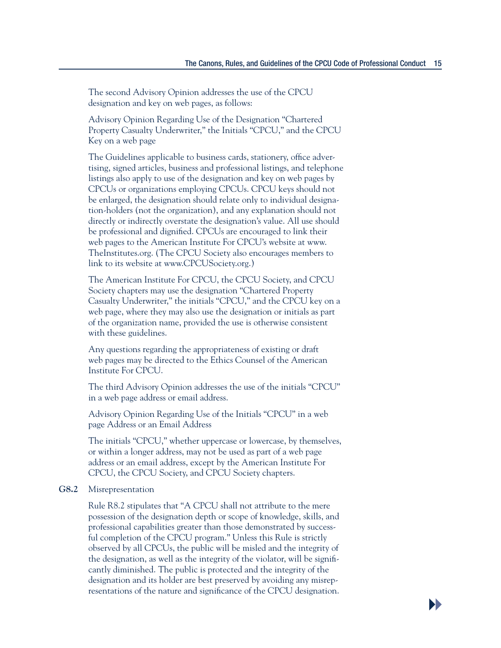**D** 

 The second Advisory Opinion addresses the use of the CPCU designation and key on web pages, as follows:

 Advisory Opinion Regarding Use of the Designation "Chartered Property Casualty Underwriter," the Initials "CPCU," and the CPCU Key on a web page

 The Guidelines applicable to business cards, stationery, office advertising, signed articles, business and professional listings, and telephone listings also apply to use of the designation and key on web pages by CPCUs or organizations employing CPCUs. CPCU keys should not be enlarged, the designation should relate only to individual designation-holders (not the organization), and any explanation should not directly or indirectly overstate the designation's value. All use should be professional and dignified. CPCUs are encouraged to link their web pages to the American Institute For CPCU's website at www. TheInstitutes.org. (The CPCU Society also encourages members to link to its website at www.CPCUSociety.org.)

 The American Institute For CPCU, the CPCU Society, and CPCU Society chapters may use the designation "Chartered Property Casualty Underwriter," the initials "CPCU," and the CPCU key on a web page, where they may also use the designation or initials as part of the organization name, provided the use is otherwise consistent with these guidelines.

 Any questions regarding the appropriateness of existing or draft web pages may be directed to the Ethics Counsel of the American Institute For CPCU.

 The third Advisory Opinion addresses the use of the initials "CPCU" in a web page address or email address.

 Advisory Opinion Regarding Use of the Initials "CPCU" in a web page Address or an Email Address

 The initials "CPCU," whether uppercase or lowercase, by themselves, or within a longer address, may not be used as part of a web page address or an email address, except by the American Institute For CPCU, the CPCU Society, and CPCU Society chapters.

#### **G8.2** Misrepresentation

 Rule R8.2 stipulates that "A CPCU shall not attribute to the mere possession of the designation depth or scope of knowledge, skills, and professional capabilities greater than those demonstrated by successful completion of the CPCU program." Unless this Rule is strictly observed by all CPCUs, the public will be misled and the integrity of the designation, as well as the integrity of the violator, will be significantly diminished. The public is protected and the integrity of the designation and its holder are best preserved by avoiding any misrepresentations of the nature and significance of the CPCU designation.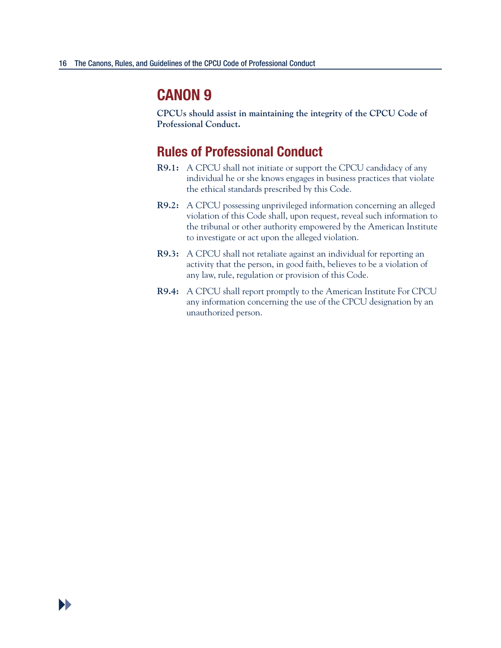**CPCUs should assist in maintaining the integrity of the CPCU Code of Professional Conduct.** 

- **R9.1:** A CPCU shall not initiate or support the CPCU candidacy of any individual he or she knows engages in business practices that violate the ethical standards prescribed by this Code.
- **R9.2:** A CPCU possessing unprivileged information concerning an alleged violation of this Code shall, upon request, reveal such information to the tribunal or other authority empowered by the American Institute to investigate or act upon the alleged violation.
- **R9.3:** A CPCU shall not retaliate against an individual for reporting an activity that the person, in good faith, believes to be a violation of any law, rule, regulation or provision of this Code.
- **R9.4:** A CPCU shall report promptly to the American Institute For CPCU any information concerning the use of the CPCU designation by an unauthorized person.